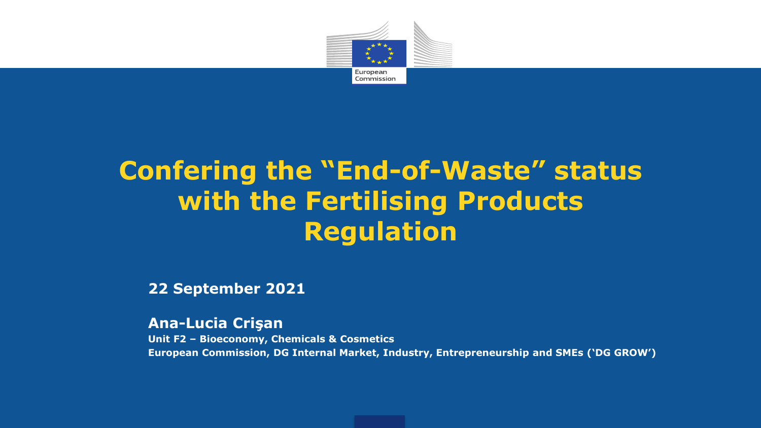

# **Confering the "End-of-Waste" status with the Fertilising Products Regulation**

**22 September 2021**

**Ana-Lucia Crişan**

**Unit F2 – Bioeconomy, Chemicals & Cosmetics European Commission, DG Internal Market, Industry, Entrepreneurship and SMEs ('DG GROW')**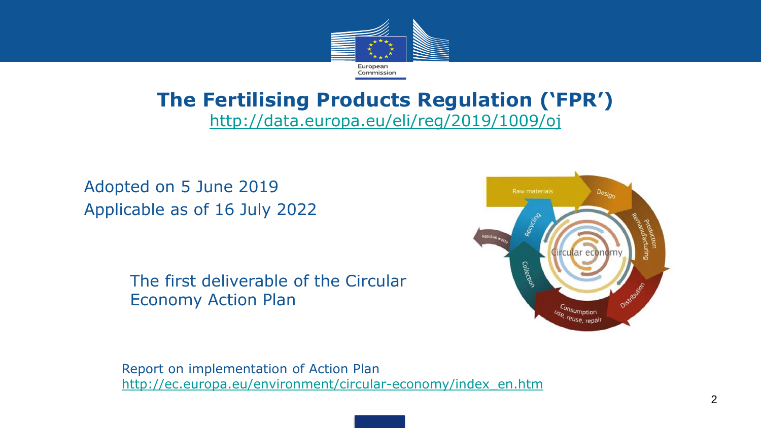

#### **The Fertilising Products Regulation ('FPR')** <http://data.europa.eu/eli/reg/2019/1009/oj>

• Adopted on 5 June 2019 • Applicable as of 16 July 2022

> The first deliverable of the Circular Economy Action Plan



Report on implementation of Action Plan [http://ec.europa.eu/environment/circular-economy/index\\_en.htm](http://ec.europa.eu/environment/circular-economy/index_en.htm)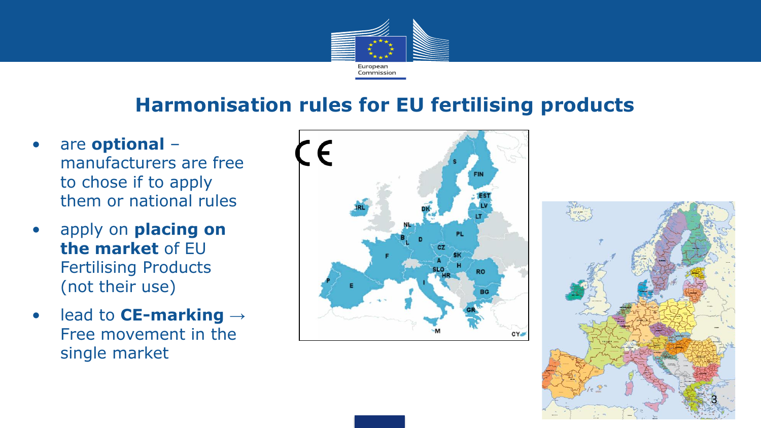

### **Harmonisation rules for EU fertilising products**

• are **optional** – manufacturers are free

to chose if to apply them or national rules

- apply on **placing on the market** of EU Fertilising Products (not their use)
- lead to **CE-marking** → Free movement in the single market



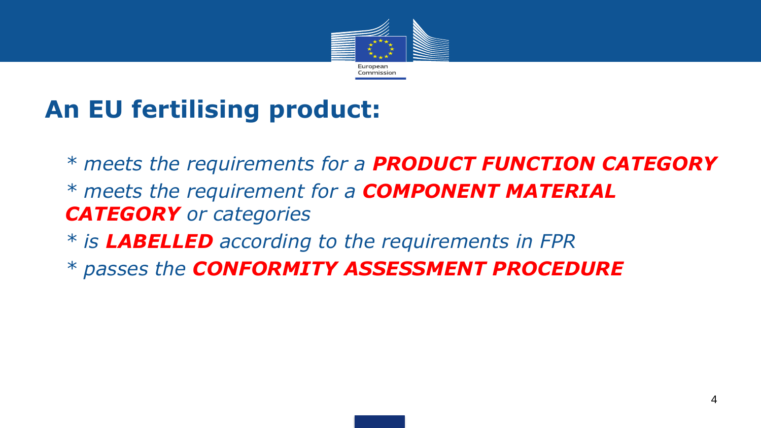

# **An EU fertilising product:**

- *\* meets the requirements for a PRODUCT FUNCTION CATEGORY*
- *\* meets the requirement for a COMPONENT MATERIAL CATEGORY or categories*
- *\* is LABELLED according to the requirements in FPR*
- *\* passes the CONFORMITY ASSESSMENT PROCEDURE*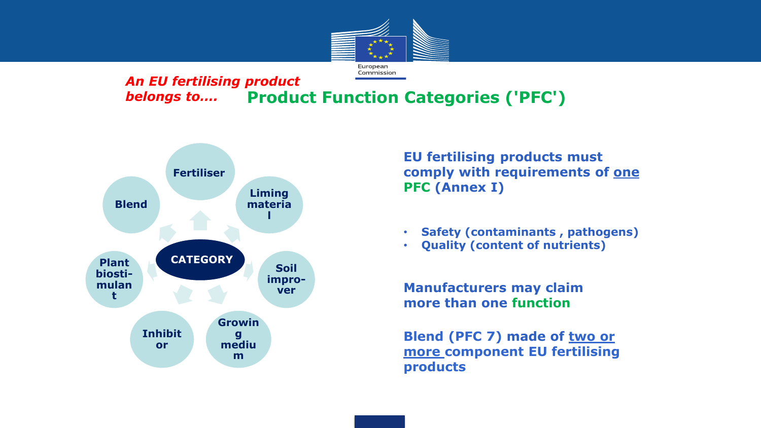

#### **Product Function Categories ('PFC')** *belongs to…. An EU fertilising product*



**EU fertilising products must comply with requirements of one PFC (Annex I)**

- **Safety (contaminants , pathogens)**
- **Quality (content of nutrients)**

**Manufacturers may claim more than one function**

**Blend (PFC 7) made of two or more component EU fertilising products**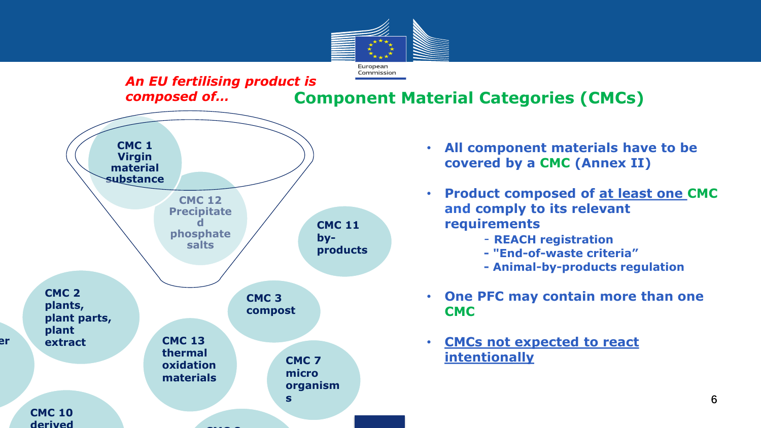



**products** *CMC* **8 <b>***CMC* **8 <b>CMC** 8 **CMC** 8 **CMC** 8 **CMC** 8 **CMC** 8 **CMC** 8 **CMC** 8 **CMC** 

er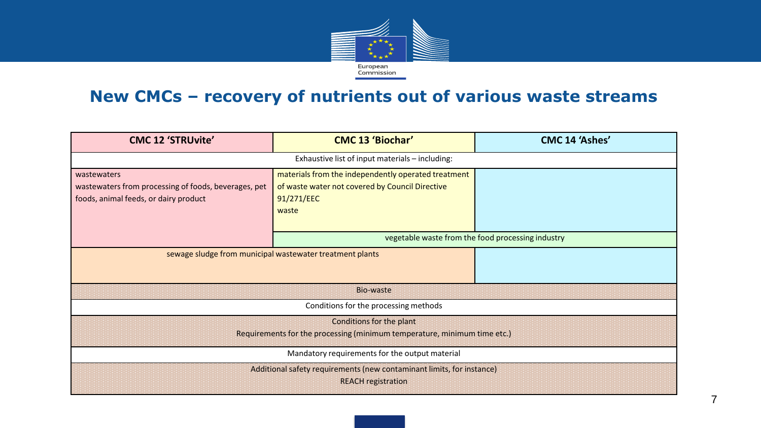

#### **New CMCs – recovery of nutrients out of various waste streams**

| <b>CMC 12 'STRUvite'</b>                                                                                     | <b>CMC 13 'Biochar'</b>                                                                                                       | <b>CMC 14 'Ashes'</b>                             |
|--------------------------------------------------------------------------------------------------------------|-------------------------------------------------------------------------------------------------------------------------------|---------------------------------------------------|
| Exhaustive list of input materials - including:                                                              |                                                                                                                               |                                                   |
| wastewaters<br>wastewaters from processing of foods, beverages, pet<br>foods, animal feeds, or dairy product | materials from the independently operated treatment<br>of waste water not covered by Council Directive<br>91/271/EEC<br>waste |                                                   |
|                                                                                                              |                                                                                                                               | vegetable waste from the food processing industry |
| sewage sludge from municipal wastewater treatment plants                                                     |                                                                                                                               |                                                   |
| Bio-waste                                                                                                    |                                                                                                                               |                                                   |
| Conditions for the processing methods                                                                        |                                                                                                                               |                                                   |
| Conditions for the plant<br>Requirements for the processing (minimum temperature, minimum time etc.)         |                                                                                                                               |                                                   |
| Mandatory requirements for the output material                                                               |                                                                                                                               |                                                   |
| Additional safety requirements (new contaminant limits, for instance)<br><b>REACH registration</b>           |                                                                                                                               |                                                   |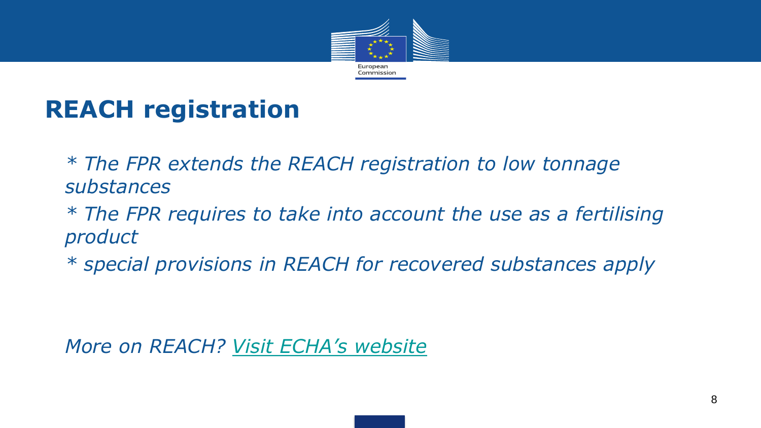

# **REACH registration**

• *\* The FPR extends the REACH registration to low tonnage substances*

• *\* The FPR requires to take into account the use as a fertilising product*

• *\* special provisions in REACH for recovered substances apply*

• *More on REACH? [Visit ECHA's website](https://echa.europa.eu/regulations/reach/understanding-reach)*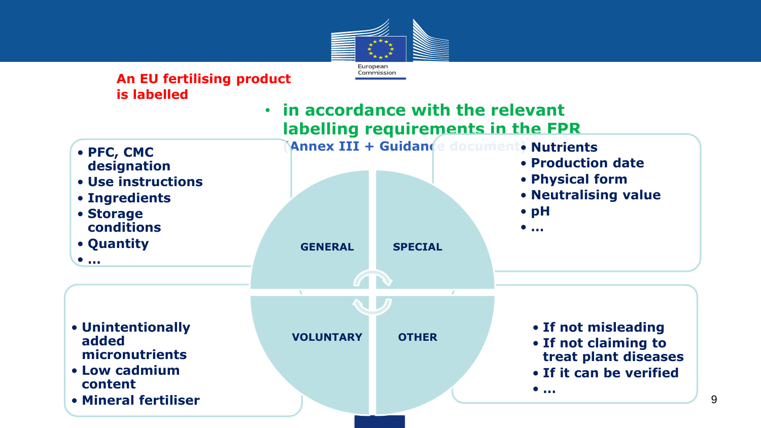

#### **An EU fertilising product is labelled**

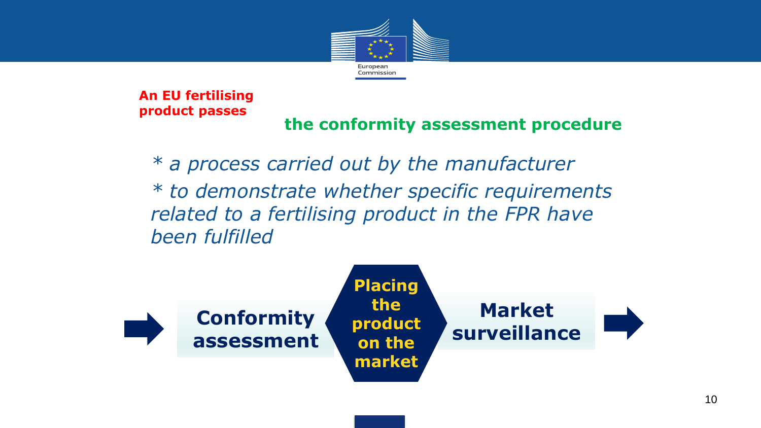

**An EU fertilising product passes**

#### **the conformity assessment procedure**

• *\* a process carried out by the manufacturer*  • *\* to demonstrate whether specific requirements related to a fertilising product in the FPR have been fulfilled*

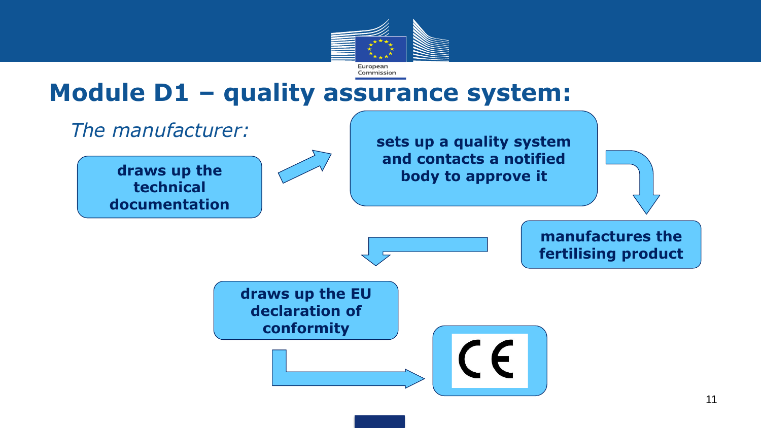

### **Module D1 – quality assurance system:**

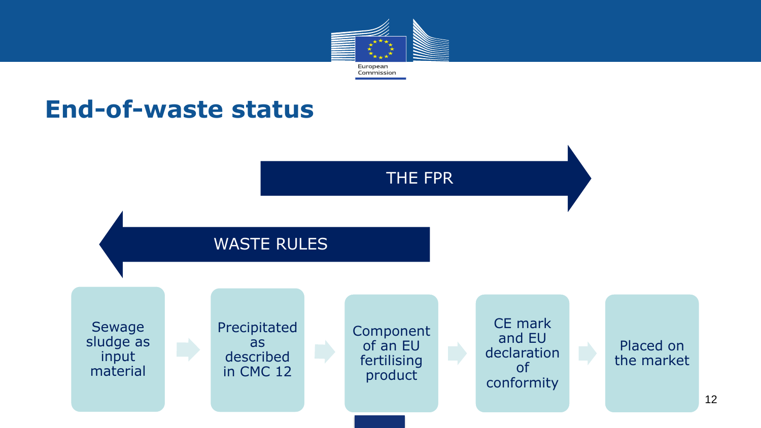

### **End-of-waste status**

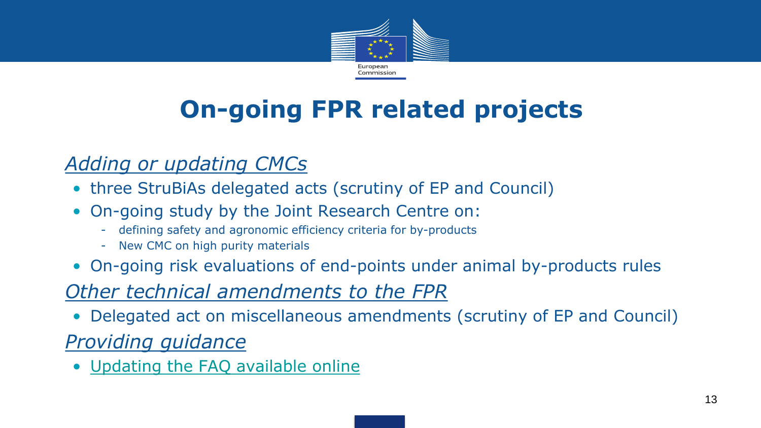

# **On-going FPR related projects**

### **Adding or updating CMCs**

- three StruBiAs delegated acts (scrutiny of EP and Council)
- On-going study by the Joint Research Centre on:
	- defining safety and agronomic efficiency criteria for by-products
	- New CMC on high purity materials
- On-going risk evaluations of end-points under animal by-products rules

o *Other technical amendments to the FPR*

• Delegated act on miscellaneous amendments (scrutiny of EP and Council)

### **Providing quidance**

• Updating [the FAQ available](https://ec.europa.eu/docsroom/documents/36764) online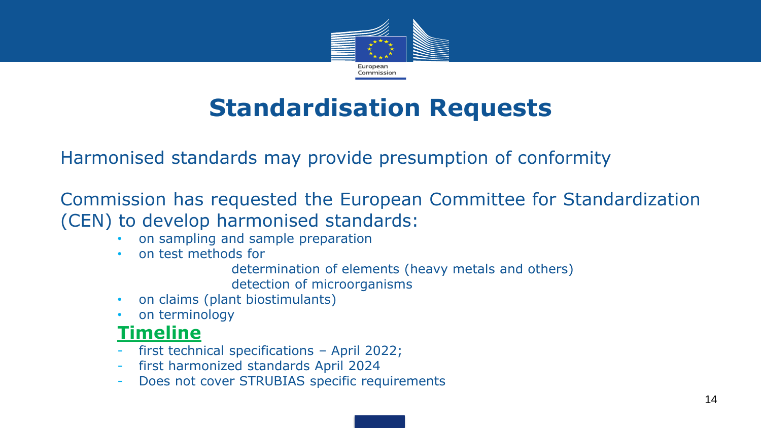

# **Standardisation Requests**

Harmonised standards may provide presumption of conformity

Commission has requested the European Committee for Standardization (CEN) to develop harmonised standards:

- on sampling and sample preparation
- on test methods for

determination of elements (heavy metals and others) detection of microorganisms

- on claims (plant biostimulants)
- on terminology

#### **Timeline**

- first technical specifications  $-$  April 2022;
- first harmonized standards April 2024
- Does not cover STRUBIAS specific requirements